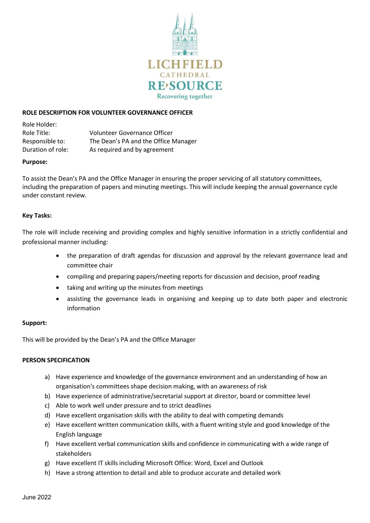

# **ROLE DESCRIPTION FOR VOLUNTEER GOVERNANCE OFFICER**

Role Holder: Role Title: Volunteer Governance Officer Responsible to: The Dean's PA and the Office Manager Duration of role: As required and by agreement

### **Purpose:**

To assist the Dean's PA and the Office Manager in ensuring the proper servicing of all statutory committees, including the preparation of papers and minuting meetings. This will include keeping the annual governance cycle under constant review.

## **Key Tasks:**

The role will include receiving and providing complex and highly sensitive information in a strictly confidential and professional manner including:

- the preparation of draft agendas for discussion and approval by the relevant governance lead and committee chair
- compiling and preparing papers/meeting reports for discussion and decision, proof reading
- taking and writing up the minutes from meetings
- assisting the governance leads in organising and keeping up to date both paper and electronic information

## **Support:**

This will be provided by the Dean's PA and the Office Manager

## **PERSON SPECIFICATION**

- a) Have experience and knowledge of the governance environment and an understanding of how an organisation's committees shape decision making, with an awareness of risk
- b) Have experience of administrative/secretarial support at director, board or committee level
- c) Able to work well under pressure and to strict deadlines
- d) Have excellent organisation skills with the ability to deal with competing demands
- e) Have excellent written communication skills, with a fluent writing style and good knowledge of the English language
- f) Have excellent verbal communication skills and confidence in communicating with a wide range of stakeholders
- g) Have excellent IT skills including Microsoft Office: Word, Excel and Outlook
- h) Have a strong attention to detail and able to produce accurate and detailed work